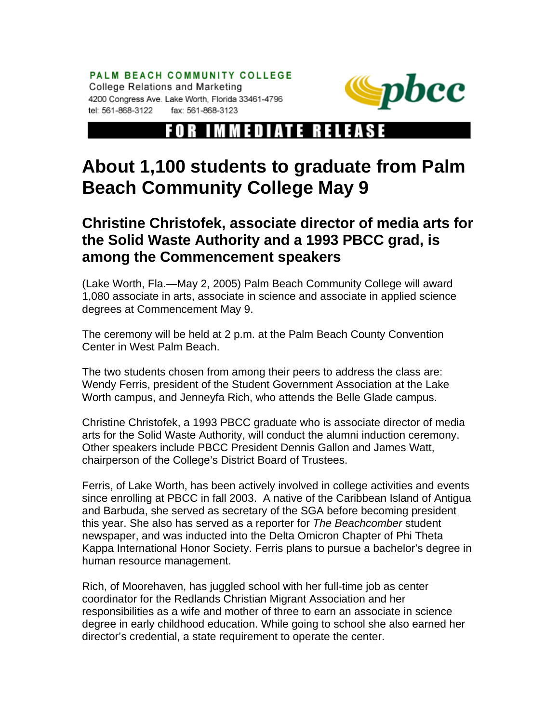PALM BEACH COMMUNITY COLLEGE College Relations and Marketing 4200 Congress Ave. Lake Worth, Florida 33461-4796 tel: 561-868-3122 fax: 561-868-3123



## FOR IMMEDIATE RELEASE

## **About 1,100 students to graduate from Palm Beach Community College May 9**

## **Christine Christofek, associate director of media arts for the Solid Waste Authority and a 1993 PBCC grad, is among the Commencement speakers**

(Lake Worth, Fla.—May 2, 2005) Palm Beach Community College will award 1,080 associate in arts, associate in science and associate in applied science degrees at Commencement May 9.

The ceremony will be held at 2 p.m. at the Palm Beach County Convention Center in West Palm Beach.

The two students chosen from among their peers to address the class are: Wendy Ferris, president of the Student Government Association at the Lake Worth campus, and Jenneyfa Rich, who attends the Belle Glade campus.

Christine Christofek, a 1993 PBCC graduate who is associate director of media arts for the Solid Waste Authority, will conduct the alumni induction ceremony. Other speakers include PBCC President Dennis Gallon and James Watt, chairperson of the College's District Board of Trustees.

Ferris, of Lake Worth, has been actively involved in college activities and events since enrolling at PBCC in fall 2003. A native of the Caribbean Island of Antigua and Barbuda, she served as secretary of the SGA before becoming president this year. She also has served as a reporter for *The Beachcomber* student newspaper, and was inducted into the Delta Omicron Chapter of Phi Theta Kappa International Honor Society. Ferris plans to pursue a bachelor's degree in human resource management.

Rich, of Moorehaven, has juggled school with her full-time job as center coordinator for the Redlands Christian Migrant Association and her responsibilities as a wife and mother of three to earn an associate in science degree in early childhood education. While going to school she also earned her director's credential, a state requirement to operate the center.